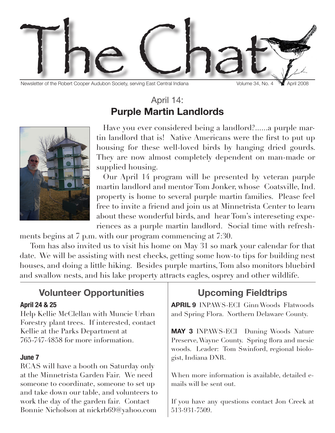

Newsletter of the Robert Cooper Audubon Society, serving East Central Indiana Volume 34, No. 4 April 2008

### April 14: **Purple Martin Landlords**



Have you ever considered being a landlord?......a purple martin landlord that is! Native Americans were the first to put up housing for these well-loved birds by hanging dried gourds. They are now almost completely dependent on man-made or supplied housing.

Our April 14 program will be presented by veteran purple martin landlord and mentor Tom Jonker, whose Coatsville, Ind. property is home to several purple martin families. Please feel free to invite a friend and join us at Minnetrista Center to learn about these wonderful birds, and hear Tom's intereseting experiences as a purple martin landlord. Social time with refresh-

ments begins at 7 p.m. with our program commencing at 7:30.

 Tom has also invited us to visit his home on May 31 so mark your calendar for that date. We will be assisting with nest checks, getting some how-to tips for building nest houses, and doing a little hiking. Besides purple martins, Tom also monitors bluebird and swallow nests, and his lake property attracts eagles, osprey and other wildlife.

# **Volunteer Opportunities**

#### **April 24 & 25**

Help Kellie McClellan with Muncie Urban Forestry plant trees. If interested, contact Kellie at the Parks Department at 765-747-4858 for more information.

#### **June 7**

RCAS will have a booth on Saturday only at the Minnetrista Garden Fair. We need someone to coordinate, someone to set up and take down our table, and volunteers to work the day of the garden fair. Contact Bonnie Nicholson at nickrb69@yahoo.com

## **Upcoming Fieldtrips**

**APRIL 9** INPAWS-ECI Ginn Woods Flatwoods and Spring Flora. Northern Delaware County.

**MAY 3** INPAWS-ECI Duning Woods Nature Preserve, Wayne County. Spring flora and mesic woods. Leader: Tom Swinford, regional biologist, Indiana DNR.

When more information is available, detailed emails will be sent out.

If you have any questions contact Jon Creek at 513-931-7509.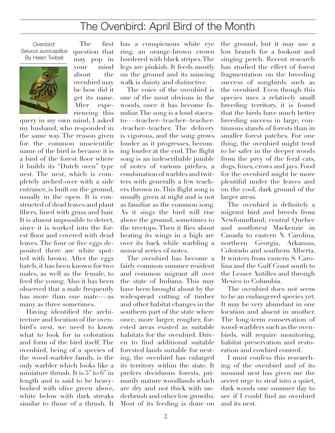### The Ovenbird: April Bird of the Month

*Ovenbird: Seiurus aurocapillus* By Helen Twibell



The first question that may pop in your mind about the ovenbird may be how did it get its name. After experiencing this

query in my own mind, I asked my husband, who responded in the same way. The reason given for the common unscientific name of the bird is because it is a bird of the forest floor where it builds its "Dutch oven" type nest. The nest, which is completely arched-over with a side entrance, is built on the ground, usually in the open. It is constructed of dead leaves and plant fibers, lined with grass and hair. It is almost impossible to detect, since it is worked into the forest floor and covered with dead leaves. The four or five eggs deposited there are white spotted with brown. After the eggs hatch, it has been known for two males, as well as the female, to feed the young. Also it has been observed that a male frequently has more than one mate----as many as three sometimes.

Having identified the architecture and location of the ovenbird's nest, we need to know what to look for in coloration and form of the bird itself. The ovenbird, being of a species of the wood-warbler family, is the only warbler which looks like a miniature thrush. It is 5" to 6" in length and is said to be heavybodied with olive green above, white below with dark streaks similar to those of a thrush. It

has a conspicuous white eye ring, an orange-brown crown bordered with black stripes. The legs are pinkish. It feeds mostly on the ground and its mincing walk is dainty and distinctive.

The voice of the ovenbird is one of the most obvious in the woods, once it has become familiar. The song is a loud staccato----teacher--teacher--teacher- -teacher--teacher. The delivery is vigorous, and the song grows louder as it progresses, becoming louder at the end. The flight song is an indescribable jumble of notes of various pitches, a combination of warbles and twitters with generally a few teachers thrown in. This flight song is usually given at night and is not as familiar as the common song. As it sings the bird will rise above the ground, sometimes to the treetops. Then it flies about beating its wings in a high arc over its back while warbling a musical series of notes.

The ovenbird has become a fairly common summer resident and common migrant all over the state of Indiana. This may have been brought about by the widespread cutting of timber and other habitat changes in the southern part of the state where once, more larger, rougher, forested areas existed as suitable habitats for the ovenbird. Driven to find additional suitable forested lands suitable for nesting, the ovenbird has enlarged its territory within the state. It prefers deciduous forests, primarily mature woodlands which are dry and not thick with underbrush and other low growths. Most of its feeding is done on

the ground, but it may use a low branch for a lookout and singing perch. Recent research has studied the effect of forest fragmentation on the breeding success of songbirds such as the ovenbird. Even though this species uses a relatively small breeding territory, it is found that the birds have much better breeding success in large, continuous stands of forests than in smaller forest patches. For one thing, the ovenbird might tend to be safer in the deeper woods from the prey of the feral cats, dogs, foxes, crows and jays. Food for the ovenbird might be more plentiful under the leaves and on the cool, dark ground of the larger areas.

The ovenbird is definitely a migrant bird and breeds from Newfoundland, central Quebec and southwest Mackenzie in Canada to eastern N. Carolina, northern Georgia, Arkansas, Colorado and southern Alberta. It winters from eastern S. Carolina and the Gulf Coast south to the Lesser Antilles and through Mexico to Columbia.

The ovenbird does not seem to be an endangered species yet. It may be very abundant in one location and absent in another. The long-term conservation of wood-warblers such as the ovenbirds, will require monitoring, habitat preservation and restoration and cowbird control.

I must confess this researching of the ovenbird and of its unusual nest has given me the secret urge to steal into a quiet, dark woods one summer day to see if I could find an ovenbird and its nest.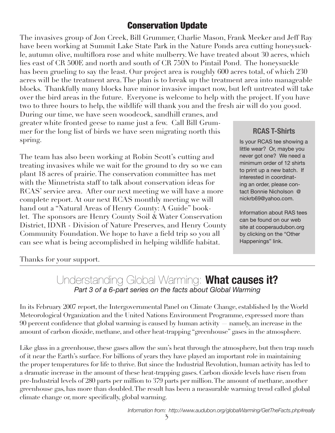### Conservation Update

The invasives group of Jon Creek, Bill Grummer, Charlie Mason, Frank Meeker and Jeff Ray have been working at Summit Lake State Park in the Nature Ponds area cutting honeysuckle, autumn olive, multiflora rose and white mulberry. We have treated about 30 acres, which lies east of CR 500E and north and south of CR 750N to Pintail Pond. The honeysuckle has been grueling to say the least. Our project area is roughly 600 acres total, of which 230 acres will be the treatment area. The plan is to break up the treatment area into manageable blocks. Thankfully many blocks have minor invasive impact now, but left untreated will take over the bird areas in the future. Everyone is welcome to help with the project. If you have two to three hours to help, the wildlife will thank you and the fresh air will do you good.

During our time, we have seen woodcock, sandhill cranes, and greater white fronted geese to name just a few. Call Bill Grummer for the long list of birds we have seen migrating north this spring.

The team has also been working at Robin Scott's cutting and treating invasives while we wait for the ground to dry so we can plant 18 acres of prairie. The conservation committee has met with the Minnetrista staff to talk about conservation ideas for RCAS' service area. After our next meeting we will have a more complete report. At our next RCAS monthly meeting we will hand out a "Natural Areas of Henry County: A Guide" booklet. The sponsors are Henry County Soil & Water Conservation District, IDNR - Division of Nature Preserves, and Henry County Community Foundation. We hope to have a field trip so you all can see what is being accomplished in helping wildlife habitat.

#### **RCAS T-Shirts**

Is your RCAS tee showing a little wear? Or, maybe you never got one? We need a minimum order of 12 shirts to print up a new batch. If interested in coordinating an order, please contact Bonnie Nicholson @ nickrb69@yahoo.com.

Information about RAS tees can be found on our web site at cooperaudubon.org by clicking on the "Other Happenings" link.

#### Thanks for your support.

### Understanding Global Warming: **What causes it?** *Part 3 of a 6-part series on the facts about Global Warming*

In its February 2007 report, the Intergovernmental Panel on Climate Change, established by the World Meteorological Organization and the United Nations Environment Programme, expressed more than 90 percent confidence that global warming is caused by human activity — namely, an increase in the amount of carbon dioxide, methane, and other heat-trapping "greenhouse" gases in the atmosphere.

Like glass in a greenhouse, these gases allow the sun's heat through the atmosphere, but then trap much of it near the Earth's surface. For billions of years they have played an important role in maintaining the proper temperatures for life to thrive. But since the Industrial Revolution, human activity has led to a dramatic increase in the amount of these heat-trapping gases. Carbon dioxide levels have risen from pre-Industrial levels of 280 parts per million to 379 parts per million. The amount of methane, another greenhouse gas, has more than doubled. The result has been a measurable warming trend called global climate change or, more specifically, global warming.